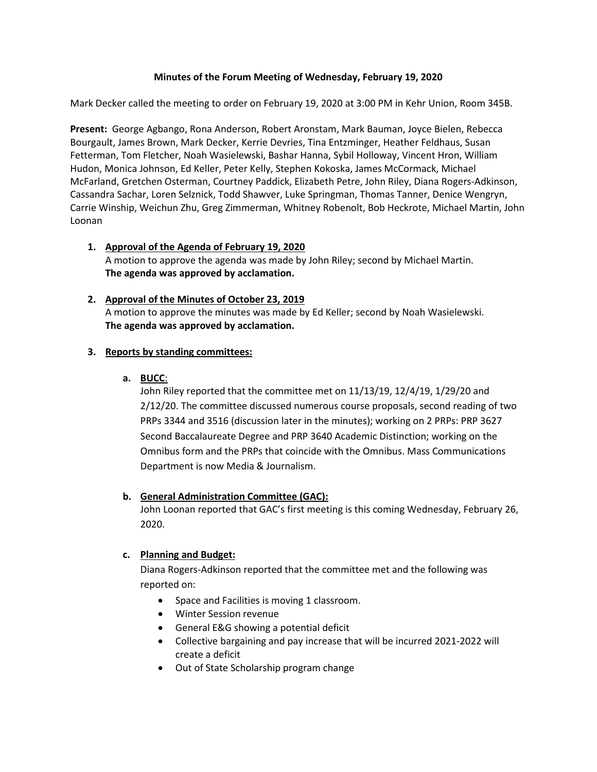### **Minutes of the Forum Meeting of Wednesday, February 19, 2020**

Mark Decker called the meeting to order on February 19, 2020 at 3:00 PM in Kehr Union, Room 345B.

**Present:** George Agbango, Rona Anderson, Robert Aronstam, Mark Bauman, Joyce Bielen, Rebecca Bourgault, James Brown, Mark Decker, Kerrie Devries, Tina Entzminger, Heather Feldhaus, Susan Fetterman, Tom Fletcher, Noah Wasielewski, Bashar Hanna, Sybil Holloway, Vincent Hron, William Hudon, Monica Johnson, Ed Keller, Peter Kelly, Stephen Kokoska, James McCormack, Michael McFarland, Gretchen Osterman, Courtney Paddick, Elizabeth Petre, John Riley, Diana Rogers-Adkinson, Cassandra Sachar, Loren Selznick, Todd Shawver, Luke Springman, Thomas Tanner, Denice Wengryn, Carrie Winship, Weichun Zhu, Greg Zimmerman, Whitney Robenolt, Bob Heckrote, Michael Martin, John Loonan

#### **1. Approval of the Agenda of February 19, 2020** A motion to approve the agenda was made by John Riley; second by Michael Martin. **The agenda was approved by acclamation.**

### **2. Approval of the Minutes of October 23, 2019** A motion to approve the minutes was made by Ed Keller; second by Noah Wasielewski. **The agenda was approved by acclamation.**

# **3. Reports by standing committees:**

#### **a. BUCC**:

John Riley reported that the committee met on 11/13/19, 12/4/19, 1/29/20 and 2/12/20. The committee discussed numerous course proposals, second reading of two PRPs 3344 and 3516 (discussion later in the minutes); working on 2 PRPs: PRP 3627 Second Baccalaureate Degree and PRP 3640 Academic Distinction; working on the Omnibus form and the PRPs that coincide with the Omnibus. Mass Communications Department is now Media & Journalism.

# **b. General Administration Committee (GAC):**

John Loonan reported that GAC's first meeting is this coming Wednesday, February 26, 2020.

#### **c. Planning and Budget:**

Diana Rogers-Adkinson reported that the committee met and the following was reported on:

- Space and Facilities is moving 1 classroom.
- Winter Session revenue
- General E&G showing a potential deficit
- Collective bargaining and pay increase that will be incurred 2021-2022 will create a deficit
- Out of State Scholarship program change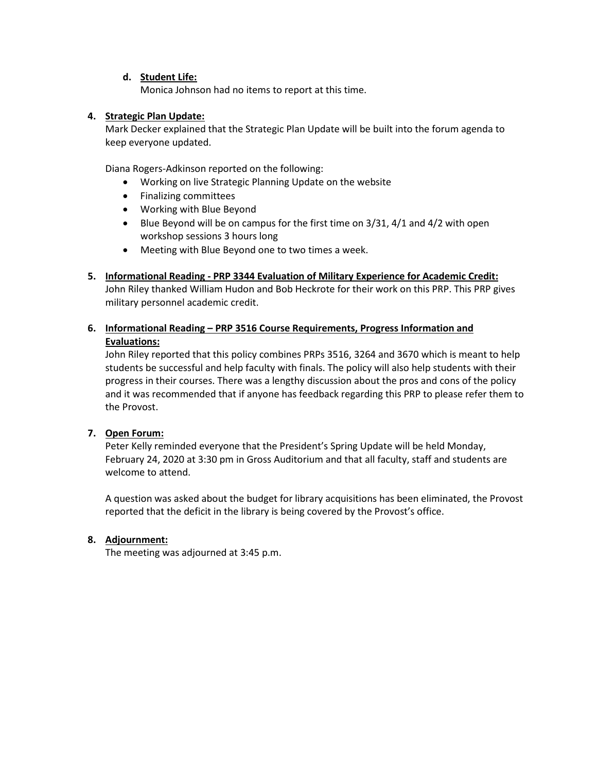#### **d. Student Life:**

Monica Johnson had no items to report at this time.

### **4. Strategic Plan Update:**

Mark Decker explained that the Strategic Plan Update will be built into the forum agenda to keep everyone updated.

Diana Rogers-Adkinson reported on the following:

- Working on live Strategic Planning Update on the website
- Finalizing committees
- Working with Blue Beyond
- Blue Beyond will be on campus for the first time on 3/31, 4/1 and 4/2 with open workshop sessions 3 hours long
- Meeting with Blue Beyond one to two times a week.
- **5. Informational Reading - PRP 3344 Evaluation of Military Experience for Academic Credit:**

John Riley thanked William Hudon and Bob Heckrote for their work on this PRP. This PRP gives military personnel academic credit.

**6. Informational Reading – PRP 3516 Course Requirements, Progress Information and Evaluations:**

John Riley reported that this policy combines PRPs 3516, 3264 and 3670 which is meant to help students be successful and help faculty with finals. The policy will also help students with their progress in their courses. There was a lengthy discussion about the pros and cons of the policy and it was recommended that if anyone has feedback regarding this PRP to please refer them to the Provost.

# **7. Open Forum:**

Peter Kelly reminded everyone that the President's Spring Update will be held Monday, February 24, 2020 at 3:30 pm in Gross Auditorium and that all faculty, staff and students are welcome to attend.

A question was asked about the budget for library acquisitions has been eliminated, the Provost reported that the deficit in the library is being covered by the Provost's office.

# **8. Adjournment:**

The meeting was adjourned at 3:45 p.m.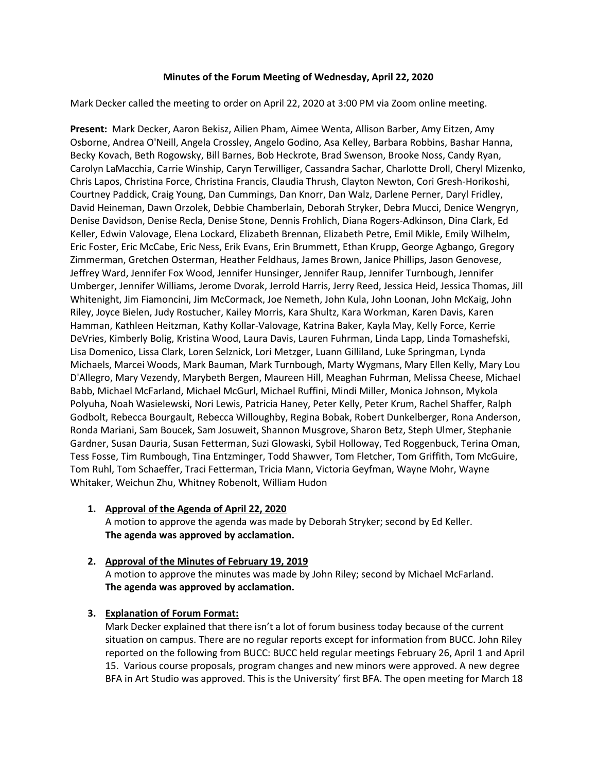#### **Minutes of the Forum Meeting of Wednesday, April 22, 2020**

Mark Decker called the meeting to order on April 22, 2020 at 3:00 PM via Zoom online meeting.

**Present:** Mark Decker, Aaron Bekisz, Ailien Pham, Aimee Wenta, Allison Barber, Amy Eitzen, Amy Osborne, Andrea O'Neill, Angela Crossley, Angelo Godino, Asa Kelley, Barbara Robbins, Bashar Hanna, Becky Kovach, Beth Rogowsky, Bill Barnes, Bob Heckrote, Brad Swenson, Brooke Noss, Candy Ryan, Carolyn LaMacchia, Carrie Winship, Caryn Terwilliger, Cassandra Sachar, Charlotte Droll, Cheryl Mizenko, Chris Lapos, Christina Force, Christina Francis, Claudia Thrush, Clayton Newton, Cori Gresh-Horikoshi, Courtney Paddick, Craig Young, Dan Cummings, Dan Knorr, Dan Walz, Darlene Perner, Daryl Fridley, David Heineman, Dawn Orzolek, Debbie Chamberlain, Deborah Stryker, Debra Mucci, Denice Wengryn, Denise Davidson, Denise Recla, Denise Stone, Dennis Frohlich, Diana Rogers-Adkinson, Dina Clark, Ed Keller, Edwin Valovage, Elena Lockard, Elizabeth Brennan, Elizabeth Petre, Emil Mikle, Emily Wilhelm, Eric Foster, Eric McCabe, Eric Ness, Erik Evans, Erin Brummett, Ethan Krupp, George Agbango, Gregory Zimmerman, Gretchen Osterman, Heather Feldhaus, James Brown, Janice Phillips, Jason Genovese, Jeffrey Ward, Jennifer Fox Wood, Jennifer Hunsinger, Jennifer Raup, Jennifer Turnbough, Jennifer Umberger, Jennifer Williams, Jerome Dvorak, Jerrold Harris, Jerry Reed, Jessica Heid, Jessica Thomas, Jill Whitenight, Jim Fiamoncini, Jim McCormack, Joe Nemeth, John Kula, John Loonan, John McKaig, John Riley, Joyce Bielen, Judy Rostucher, Kailey Morris, Kara Shultz, Kara Workman, Karen Davis, Karen Hamman, Kathleen Heitzman, Kathy Kollar-Valovage, Katrina Baker, Kayla May, Kelly Force, Kerrie DeVries, Kimberly Bolig, Kristina Wood, Laura Davis, Lauren Fuhrman, Linda Lapp, Linda Tomashefski, Lisa Domenico, Lissa Clark, Loren Selznick, Lori Metzger, Luann Gilliland, Luke Springman, Lynda Michaels, Marcei Woods, Mark Bauman, Mark Turnbough, Marty Wygmans, Mary Ellen Kelly, Mary Lou D'Allegro, Mary Vezendy, Marybeth Bergen, Maureen Hill, Meaghan Fuhrman, Melissa Cheese, Michael Babb, Michael McFarland, Michael McGurl, Michael Ruffini, Mindi Miller, Monica Johnson, Mykola Polyuha, Noah Wasielewski, Nori Lewis, Patricia Haney, Peter Kelly, Peter Krum, Rachel Shaffer, Ralph Godbolt, Rebecca Bourgault, Rebecca Willoughby, Regina Bobak, Robert Dunkelberger, Rona Anderson, Ronda Mariani, Sam Boucek, Sam Josuweit, Shannon Musgrove, Sharon Betz, Steph Ulmer, Stephanie Gardner, Susan Dauria, Susan Fetterman, Suzi Glowaski, Sybil Holloway, Ted Roggenbuck, Terina Oman, Tess Fosse, Tim Rumbough, Tina Entzminger, Todd Shawver, Tom Fletcher, Tom Griffith, Tom McGuire, Tom Ruhl, Tom Schaeffer, Traci Fetterman, Tricia Mann, Victoria Geyfman, Wayne Mohr, Wayne Whitaker, Weichun Zhu, Whitney Robenolt, William Hudon

- **1. Approval of the Agenda of April 22, 2020** A motion to approve the agenda was made by Deborah Stryker; second by Ed Keller. **The agenda was approved by acclamation.**
- **2. Approval of the Minutes of February 19, 2019** A motion to approve the minutes was made by John Riley; second by Michael McFarland. **The agenda was approved by acclamation.**

#### **3. Explanation of Forum Format:**

Mark Decker explained that there isn't a lot of forum business today because of the current situation on campus. There are no regular reports except for information from BUCC. John Riley reported on the following from BUCC: BUCC held regular meetings February 26, April 1 and April 15. Various course proposals, program changes and new minors were approved. A new degree BFA in Art Studio was approved. This is the University' first BFA. The open meeting for March 18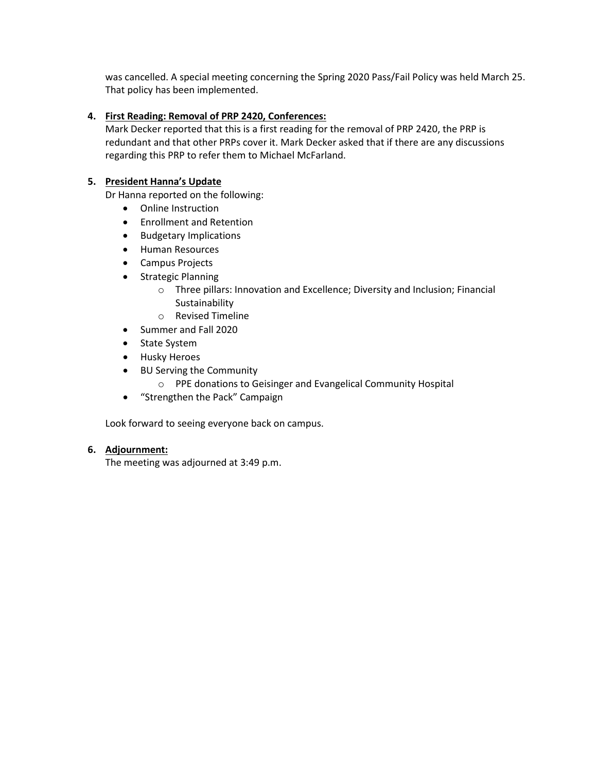was cancelled. A special meeting concerning the Spring 2020 Pass/Fail Policy was held March 25. That policy has been implemented.

### **4. First Reading: Removal of PRP 2420, Conferences:**

Mark Decker reported that this is a first reading for the removal of PRP 2420, the PRP is redundant and that other PRPs cover it. Mark Decker asked that if there are any discussions regarding this PRP to refer them to Michael McFarland.

### **5. President Hanna's Update**

Dr Hanna reported on the following:

- Online Instruction
- Enrollment and Retention
- Budgetary Implications
- Human Resources
- Campus Projects
- Strategic Planning
	- o Three pillars: Innovation and Excellence; Diversity and Inclusion; Financial Sustainability
	- o Revised Timeline
- Summer and Fall 2020
- State System
- Husky Heroes
- BU Serving the Community
	- o PPE donations to Geisinger and Evangelical Community Hospital
- "Strengthen the Pack" Campaign

Look forward to seeing everyone back on campus.

#### **6. Adjournment:**

The meeting was adjourned at 3:49 p.m.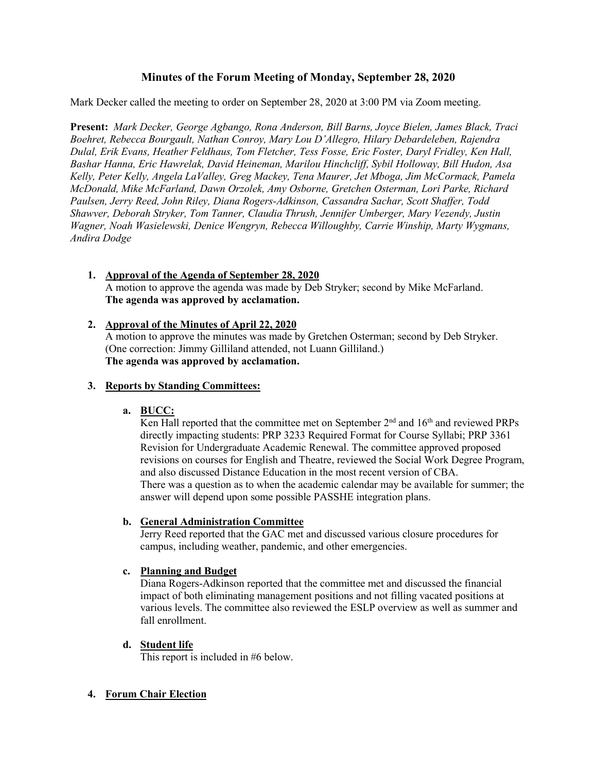# **Minutes of the Forum Meeting of Monday, September 28, 2020**

Mark Decker called the meeting to order on September 28, 2020 at 3:00 PM via Zoom meeting.

**Present:** *Mark Decker, George Agbango, Rona Anderson, Bill Barns, Joyce Bielen, James Black, Traci Boehret, Rebecca Bourgault, Nathan Conroy, Mary Lou D'Allegro, Hilary Debardeleben, Rajendra Dulal, Erik Evans, Heather Feldhaus, Tom Fletcher, Tess Fosse, Eric Foster, Daryl Fridley, Ken Hall, Bashar Hanna, Eric Hawrelak, David Heineman, Marilou Hinchcliff, Sybil Holloway, Bill Hudon, Asa Kelly, Peter Kelly, Angela LaValley, Greg Mackey, Tena Maurer, Jet Mboga, Jim McCormack, Pamela McDonald, Mike McFarland, Dawn Orzolek, Amy Osborne, Gretchen Osterman, Lori Parke, Richard Paulsen, Jerry Reed, John Riley, Diana Rogers-Adkinson, Cassandra Sachar, Scott Shaffer, Todd Shawver, Deborah Stryker, Tom Tanner, Claudia Thrush, Jennifer Umberger, Mary Vezendy, Justin Wagner, Noah Wasielewski, Denice Wengryn, Rebecca Willoughby, Carrie Winship, Marty Wygmans, Andira Dodge*

- **1. Approval of the Agenda of September 28, 2020** A motion to approve the agenda was made by Deb Stryker; second by Mike McFarland. **The agenda was approved by acclamation.**
- **2. Approval of the Minutes of April 22, 2020**

A motion to approve the minutes was made by Gretchen Osterman; second by Deb Stryker. (One correction: Jimmy Gilliland attended, not Luann Gilliland.) **The agenda was approved by acclamation.**

# **3. Reports by Standing Committees:**

# **a. BUCC:**

Ken Hall reported that the committee met on September  $2<sup>nd</sup>$  and  $16<sup>th</sup>$  and reviewed PRPs directly impacting students: PRP 3233 Required Format for Course Syllabi; PRP 3361 Revision for Undergraduate Academic Renewal. The committee approved proposed revisions on courses for English and Theatre, reviewed the Social Work Degree Program, and also discussed Distance Education in the most recent version of CBA. There was a question as to when the academic calendar may be available for summer; the answer will depend upon some possible PASSHE integration plans.

# **b. General Administration Committee**

Jerry Reed reported that the GAC met and discussed various closure procedures for campus, including weather, pandemic, and other emergencies.

# **c. Planning and Budget**

Diana Rogers-Adkinson reported that the committee met and discussed the financial impact of both eliminating management positions and not filling vacated positions at various levels. The committee also reviewed the ESLP overview as well as summer and fall enrollment.

# **d. Student life**

This report is included in #6 below.

# **4. Forum Chair Election**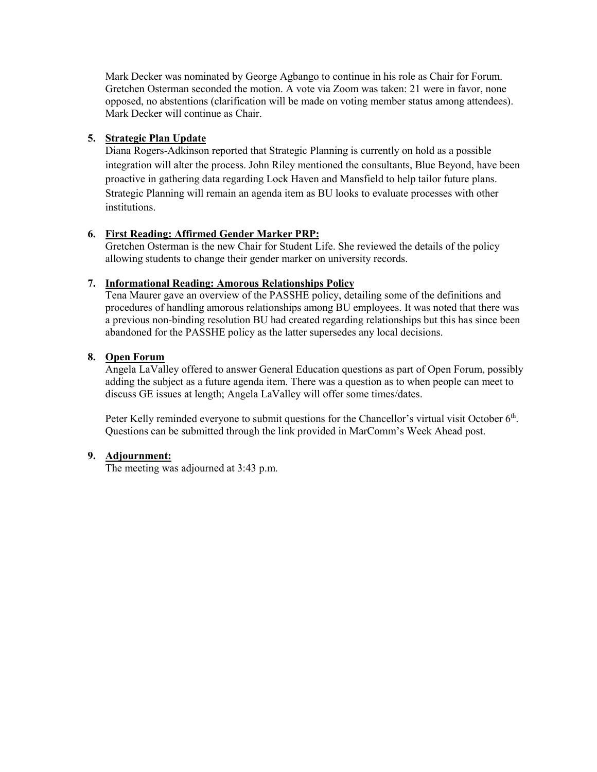Mark Decker was nominated by George Agbango to continue in his role as Chair for Forum. Gretchen Osterman seconded the motion. A vote via Zoom was taken: 21 were in favor, none opposed, no abstentions (clarification will be made on voting member status among attendees). Mark Decker will continue as Chair.

### **5. Strategic Plan Update**

Diana Rogers-Adkinson reported that Strategic Planning is currently on hold as a possible integration will alter the process. John Riley mentioned the consultants, Blue Beyond, have been proactive in gathering data regarding Lock Haven and Mansfield to help tailor future plans. Strategic Planning will remain an agenda item as BU looks to evaluate processes with other institutions.

### **6. First Reading: Affirmed Gender Marker PRP:**

Gretchen Osterman is the new Chair for Student Life. She reviewed the details of the policy allowing students to change their gender marker on university records.

#### **7. Informational Reading: Amorous Relationships Policy**

Tena Maurer gave an overview of the PASSHE policy, detailing some of the definitions and procedures of handling amorous relationships among BU employees. It was noted that there was a previous non-binding resolution BU had created regarding relationships but this has since been abandoned for the PASSHE policy as the latter supersedes any local decisions.

### **8. Open Forum**

Angela LaValley offered to answer General Education questions as part of Open Forum, possibly adding the subject as a future agenda item. There was a question as to when people can meet to discuss GE issues at length; Angela LaValley will offer some times/dates.

Peter Kelly reminded everyone to submit questions for the Chancellor's virtual visit October 6<sup>th</sup>. Questions can be submitted through the link provided in MarComm's Week Ahead post.

#### **9. Adjournment:**

The meeting was adjourned at 3:43 p.m.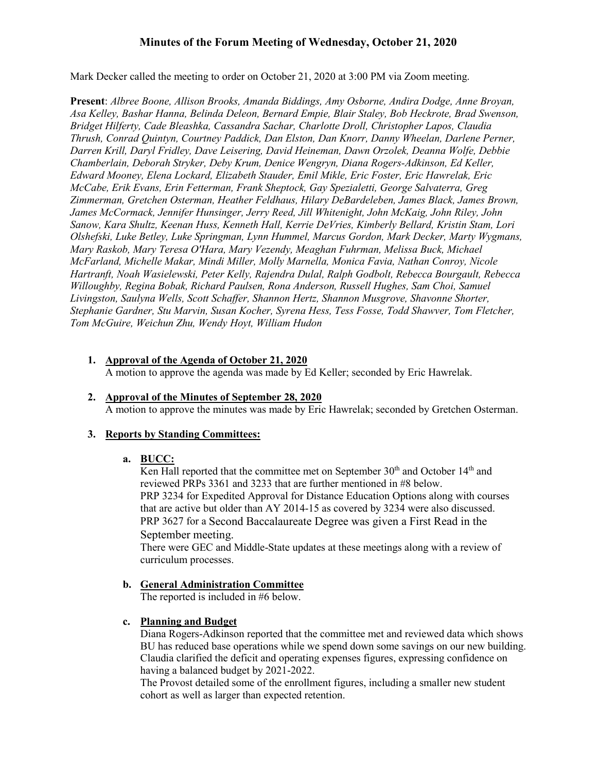# **Minutes of the Forum Meeting of Wednesday, October 21, 2020**

Mark Decker called the meeting to order on October 21, 2020 at 3:00 PM via Zoom meeting.

**Present**: *Albree Boone, Allison Brooks, Amanda Biddings, Amy Osborne, Andira Dodge, Anne Broyan, Asa Kelley, Bashar Hanna, Belinda Deleon, Bernard Empie, Blair Staley, Bob Heckrote, Brad Swenson, Bridget Hilferty, Cade Bleashka, Cassandra Sachar, Charlotte Droll, Christopher Lapos, Claudia Thrush, Conrad Quintyn, Courtney Paddick, Dan Elston, Dan Knorr, Danny Wheelan, Darlene Perner, Darren Krill, Daryl Fridley, Dave Leisering, David Heineman, Dawn Orzolek, Deanna Wolfe, Debbie Chamberlain, Deborah Stryker, Deby Krum, Denice Wengryn, Diana Rogers-Adkinson, Ed Keller, Edward Mooney, Elena Lockard, Elizabeth Stauder, Emil Mikle, Eric Foster, Eric Hawrelak, Eric McCabe, Erik Evans, Erin Fetterman, Frank Sheptock, Gay Spezialetti, George Salvaterra, Greg Zimmerman, Gretchen Osterman, Heather Feldhaus, Hilary DeBardeleben, James Black, James Brown, James McCormack, Jennifer Hunsinger, Jerry Reed, Jill Whitenight, John McKaig, John Riley, John Sanow, Kara Shultz, Keenan Huss, Kenneth Hall, Kerrie DeVries, Kimberly Bellard, Kristin Stam, Lori Olshefski, Luke Betley, Luke Springman, Lynn Hummel, Marcus Gordon, Mark Decker, Marty Wygmans, Mary Raskob, Mary Teresa O'Hara, Mary Vezendy, Meaghan Fuhrman, Melissa Buck, Michael McFarland, Michelle Makar, Mindi Miller, Molly Marnella, Monica Favia, Nathan Conroy, Nicole Hartranft, Noah Wasielewski, Peter Kelly, Rajendra Dulal, Ralph Godbolt, Rebecca Bourgault, Rebecca Willoughby, Regina Bobak, Richard Paulsen, Rona Anderson, Russell Hughes, Sam Choi, Samuel Livingston, Saulyna Wells, Scott Schaffer, Shannon Hertz, Shannon Musgrove, Shavonne Shorter, Stephanie Gardner, Stu Marvin, Susan Kocher, Syrena Hess, Tess Fosse, Todd Shawver, Tom Fletcher, Tom McGuire, Weichun Zhu, Wendy Hoyt, William Hudon*

- **1. Approval of the Agenda of October 21, 2020** A motion to approve the agenda was made by Ed Keller; seconded by Eric Hawrelak.
- **2. Approval of the Minutes of September 28, 2020** A motion to approve the minutes was made by Eric Hawrelak; seconded by Gretchen Osterman.

#### **3. Reports by Standing Committees:**

#### **a. BUCC:**

Ken Hall reported that the committee met on September  $30<sup>th</sup>$  and October  $14<sup>th</sup>$  and reviewed PRPs 3361 and 3233 that are further mentioned in #8 below. PRP 3234 for Expedited Approval for Distance Education Options along with courses that are active but older than AY 2014-15 as covered by 3234 were also discussed. PRP 3627 for a Second Baccalaureate Degree was given a First Read in the September meeting.

There were GEC and Middle-State updates at these meetings along with a review of curriculum processes.

# **b. General Administration Committee**

The reported is included in #6 below.

### **c. Planning and Budget**

Diana Rogers-Adkinson reported that the committee met and reviewed data which shows BU has reduced base operations while we spend down some savings on our new building. Claudia clarified the deficit and operating expenses figures, expressing confidence on having a balanced budget by 2021-2022.

The Provost detailed some of the enrollment figures, including a smaller new student cohort as well as larger than expected retention.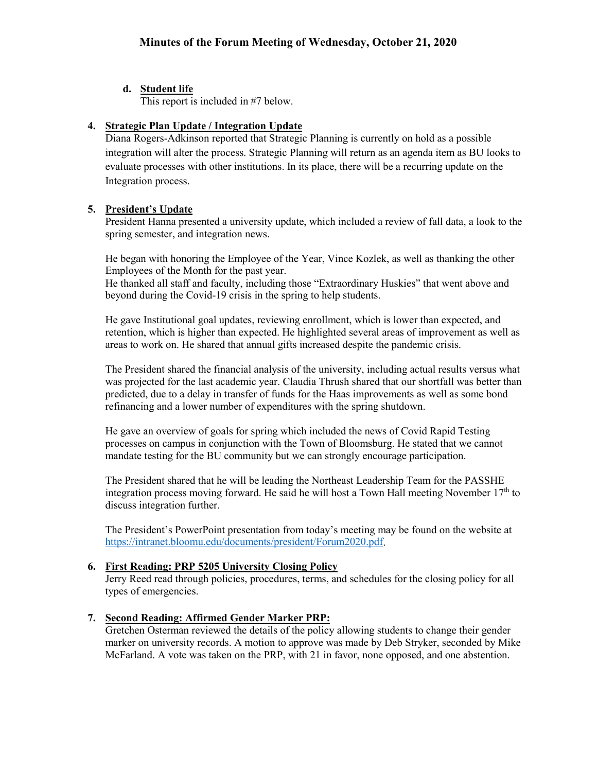# **d. Student life**

This report is included in #7 below.

# **4. Strategic Plan Update / Integration Update**

Diana Rogers-Adkinson reported that Strategic Planning is currently on hold as a possible integration will alter the process. Strategic Planning will return as an agenda item as BU looks to evaluate processes with other institutions. In its place, there will be a recurring update on the Integration process.

# **5. President's Update**

President Hanna presented a university update, which included a review of fall data, a look to the spring semester, and integration news.

He began with honoring the Employee of the Year, Vince Kozlek, as well as thanking the other Employees of the Month for the past year.

He thanked all staff and faculty, including those "Extraordinary Huskies" that went above and beyond during the Covid-19 crisis in the spring to help students.

He gave Institutional goal updates, reviewing enrollment, which is lower than expected, and retention, which is higher than expected. He highlighted several areas of improvement as well as areas to work on. He shared that annual gifts increased despite the pandemic crisis.

The President shared the financial analysis of the university, including actual results versus what was projected for the last academic year. Claudia Thrush shared that our shortfall was better than predicted, due to a delay in transfer of funds for the Haas improvements as well as some bond refinancing and a lower number of expenditures with the spring shutdown.

He gave an overview of goals for spring which included the news of Covid Rapid Testing processes on campus in conjunction with the Town of Bloomsburg. He stated that we cannot mandate testing for the BU community but we can strongly encourage participation.

The President shared that he will be leading the Northeast Leadership Team for the PASSHE integration process moving forward. He said he will host a Town Hall meeting November  $17<sup>th</sup>$  to discuss integration further.

The President's PowerPoint presentation from today's meeting may be found on the website at [https://intranet.bloomu.edu/documents/president/Forum2020.pdf.](https://intranet.bloomu.edu/documents/president/Forum2020.pdf)

# **6. First Reading: PRP 5205 University Closing Policy**

Jerry Reed read through policies, procedures, terms, and schedules for the closing policy for all types of emergencies.

# **7. Second Reading: Affirmed Gender Marker PRP:**

Gretchen Osterman reviewed the details of the policy allowing students to change their gender marker on university records. A motion to approve was made by Deb Stryker, seconded by Mike McFarland. A vote was taken on the PRP, with 21 in favor, none opposed, and one abstention.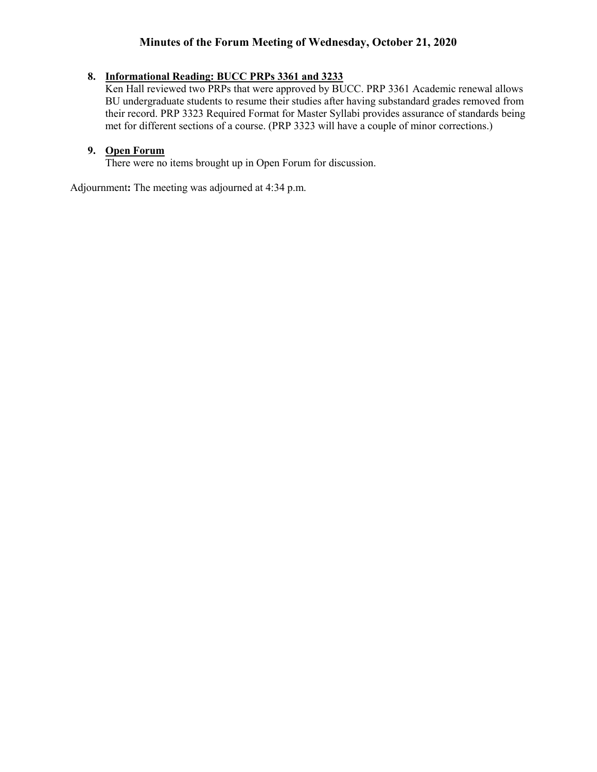# **Minutes of the Forum Meeting of Wednesday, October 21, 2020**

# **8. Informational Reading: BUCC PRPs 3361 and 3233**

Ken Hall reviewed two PRPs that were approved by BUCC. PRP 3361 Academic renewal allows BU undergraduate students to resume their studies after having substandard grades removed from their record. PRP 3323 Required Format for Master Syllabi provides assurance of standards being met for different sections of a course. (PRP 3323 will have a couple of minor corrections.)

# **9. Open Forum**

There were no items brought up in Open Forum for discussion.

Adjournment**:** The meeting was adjourned at 4:34 p.m.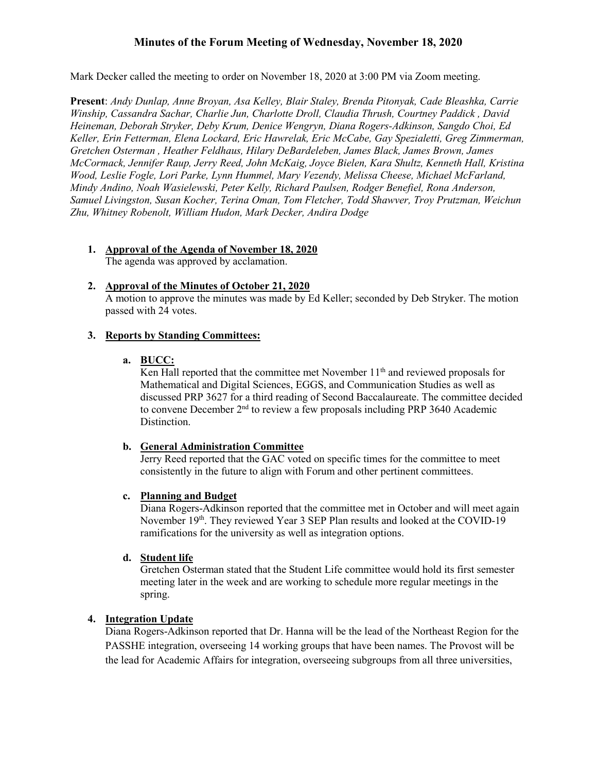# **Minutes of the Forum Meeting of Wednesday, November 18, 2020**

Mark Decker called the meeting to order on November 18, 2020 at 3:00 PM via Zoom meeting.

**Present**: *Andy Dunlap, Anne Broyan, Asa Kelley, Blair Staley, Brenda Pitonyak, Cade Bleashka, Carrie Winship, Cassandra Sachar, Charlie Jun, Charlotte Droll, Claudia Thrush, Courtney Paddick , David Heineman, Deborah Stryker, Deby Krum, Denice Wengryn, Diana Rogers-Adkinson, Sangdo Choi, Ed Keller, Erin Fetterman, Elena Lockard, Eric Hawrelak, Eric McCabe, Gay Spezialetti, Greg Zimmerman, Gretchen Osterman , Heather Feldhaus, Hilary DeBardeleben, James Black, James Brown, James McCormack, Jennifer Raup, Jerry Reed, John McKaig, Joyce Bielen, Kara Shultz, Kenneth Hall, Kristina Wood, Leslie Fogle, Lori Parke, Lynn Hummel, Mary Vezendy, Melissa Cheese, Michael McFarland, Mindy Andino, Noah Wasielewski, Peter Kelly, Richard Paulsen, Rodger Benefiel, Rona Anderson, Samuel Livingston, Susan Kocher, Terina Oman, Tom Fletcher, Todd Shawver, Troy Prutzman, Weichun Zhu, Whitney Robenolt, William Hudon, Mark Decker, Andira Dodge*

**1. Approval of the Agenda of November 18, 2020**

The agenda was approved by acclamation.

# **2. Approval of the Minutes of October 21, 2020**

A motion to approve the minutes was made by Ed Keller; seconded by Deb Stryker. The motion passed with 24 votes.

# **3. Reports by Standing Committees:**

### **a. BUCC:**

Ken Hall reported that the committee met November  $11<sup>th</sup>$  and reviewed proposals for Mathematical and Digital Sciences, EGGS, and Communication Studies as well as discussed PRP 3627 for a third reading of Second Baccalaureate. The committee decided to convene December  $2<sup>nd</sup>$  to review a few proposals including PRP 3640 Academic Distinction.

# **b. General Administration Committee**

Jerry Reed reported that the GAC voted on specific times for the committee to meet consistently in the future to align with Forum and other pertinent committees.

# **c. Planning and Budget**

Diana Rogers-Adkinson reported that the committee met in October and will meet again November 19<sup>th</sup>. They reviewed Year 3 SEP Plan results and looked at the COVID-19 ramifications for the university as well as integration options.

# **d. Student life**

Gretchen Osterman stated that the Student Life committee would hold its first semester meeting later in the week and are working to schedule more regular meetings in the spring.

# **4. Integration Update**

Diana Rogers-Adkinson reported that Dr. Hanna will be the lead of the Northeast Region for the PASSHE integration, overseeing 14 working groups that have been names. The Provost will be the lead for Academic Affairs for integration, overseeing subgroups from all three universities,